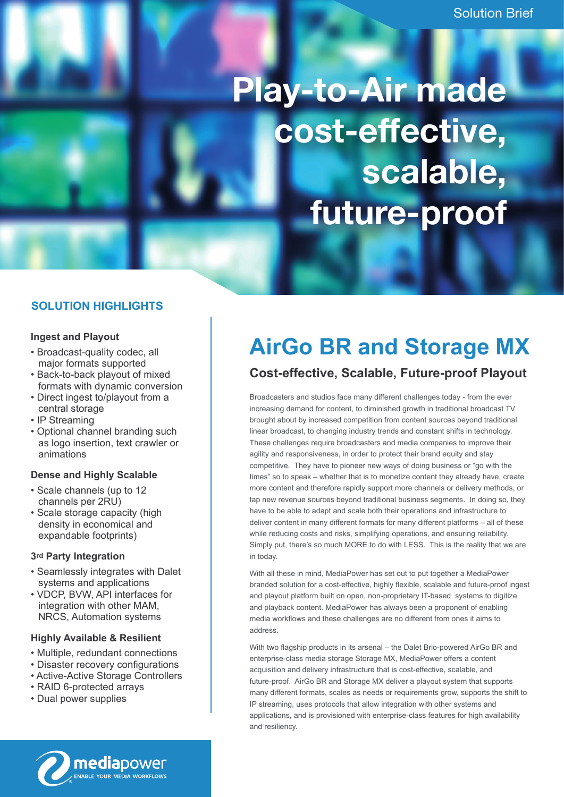# **Play-to-Air made cost-effective, scalable, future-proof**

## **SOLUTION HIGHLIGHTS**

#### **Ingest and Playout**

- Broadcast-quality codec, all major formats supported
- Back-to-back playout of mixed formats with dynamic conversion
- Direct ingest to/playout from a central storage
- IP Streaming
- Optional channel branding such as logo insertion, text crawler or animations

#### **Dense and Highly Scalable**

- Scale channels (up to 12 channels per 2RU)
- Scale storage capacity (high density in economical and expandable footprints)

#### **3rd Party Integration**

- Seamlessly integrates with Dalet systems and applications
- VDCP, BVW, API interfaces for integration with other MAM, NRCS, Automation systems

#### **Highly Available & Resilient**

- Multiple, redundant connections
- Disaster recovery configurations
- Active-Active Storage Controllers
- RAID 6-protected arrays
- Dual power supplies

# **AirGo BR and Storage MX Cost-effective, Scalable, Future-proof Playout**

Broadcasters and studios face many different challenges today - from the ever increasing demand for content, to diminished growth in traditional broadcast TV brought about by increased competition from content sources beyond traditional linear broadcast, to changing industry trends and constant shifts in technology. These challenges require broadcasters and media companies to improve their agility and responsiveness, in order to protect their brand equity and stay competitive. They have to pioneer new ways of doing business or "go with the times" so to speak – whether that is to monetize content they already have, create more content and therefore rapidly support more channels or delivery methods, or tap new revenue sources beyond traditional business segments. In doing so, they have to be able to adapt and scale both their operations and infrastructure to deliver content in many different formats for many different platforms – all of these while reducing costs and risks, simplifying operations, and ensuring reliability. Simply put, there's so much MORE to do with LESS. This is the reality that we are in today.

With all these in mind, MediaPower has set out to put together a MediaPower branded solution for a cost-effective, highly flexible, scalable and future-proof ingest and playout platform built on open, non-proprietary IT-based systems to digitize and playback content. MediaPower has always been a proponent of enabling media workflows and these challenges are no different from ones it aims to address.

With two flagship products in its arsenal – the Dalet Brio-powered AirGo BR and enterprise-class media storage Storage MX, MediaPower offers a content acquisition and delivery infrastructure that is cost-effective, scalable, and future-proof. AirGo BR and Storage MX deliver a playout system that supports many different formats, scales as needs or requirements grow, supports the shift to IP streaming, uses protocols that allow integration with other systems and applications, and is provisioned with enterprise-class features for high availability and resiliency.